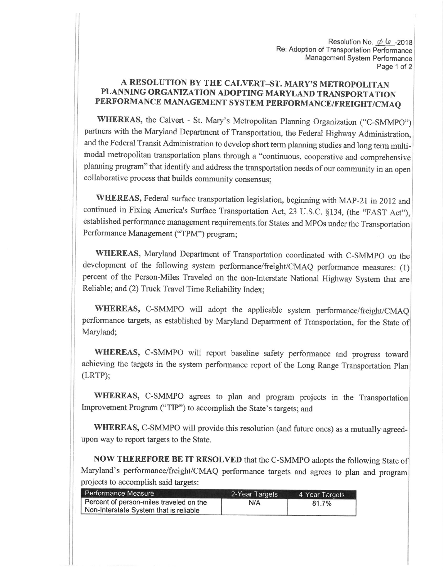Resolution No.  $\phi$   $\psi$  -2018 Re: Adoption of Transportation Performance Management System performance Page 1 of 2

## A RESOLUTION BY THE CALVERT-ST. MARY'S METROPOLITAN PLANNING ORGANIZATION ADOPTING MARYLAND TRANSPORTATION PERFORMANCE MANAGEMENT SYSTEM PERFORMANCE/FREIGHT/CMAQ

WHEREAS, the Calvert - St. Mary's Metropolitan Planning Organization ("C-SMMPO") partners with the Maryland Department of Transportation, the Federal Highway Administration, and the Federal Transit Administration to develop short term planning studies and long term multimodal metropolitan transportation plans through a "continuous, cooperative and comprehensive planning program" that identify and address the transportation needs of our community in an open collaborative process that builds community consensus;

WHEREAS, Federal surface transportation legislation, beginning with MAp-21 in 2012 and continued in Fixing America's Surface Transportation Act, 23 U.S.C. §134, (the "FAST Act"), established performance management requirements for States and MPOs under the Transportation Performance Management ("TPM") program;

WHEREAS, Maryland Department of Transportation coordinated with C-SMMPO on the development of the following system performance/freight/CMAQ performance measures: (1) percent of the Person-Miles Traveled on the non-Interstate National Highway System that are Reliable; and (2) Truck Travel Time Reliability lndex;

WHEREAS, C-SMMPO will adopt the applicable system performance/freight/CMAQ performance targets, as established by Maryland Department of Transportation, for the State of Maryland;

WHEREAS, C-SMMPO will report baseline safety performance and progress toward achieving the targets in the system performance report of the Long Range Transportation plan (LRTP);

WHEREAS, C-SMMPO agrees to plan and program projects in the Transportation Improvement Program ("TIP") to accomplish the State's targets; and

WHEREAS, C-SMMPO will provide this resolution (and future ones) as a mutually agreedupon way to report targets to the State.

NOW THEREFORE BE IT RESOLVED that the C-SMMPO adopts the following State of Maryland's performance/freight/cMAQ performance targets and agrees to plan and program projects to accomplish said targets:

| Performance Measure                     | 2-Year Targets | 4-Year Targets |
|-----------------------------------------|----------------|----------------|
| Percent of person-miles traveled on the | N/A            | 81.7%          |
| Non-Interstate System that is reliable  |                |                |